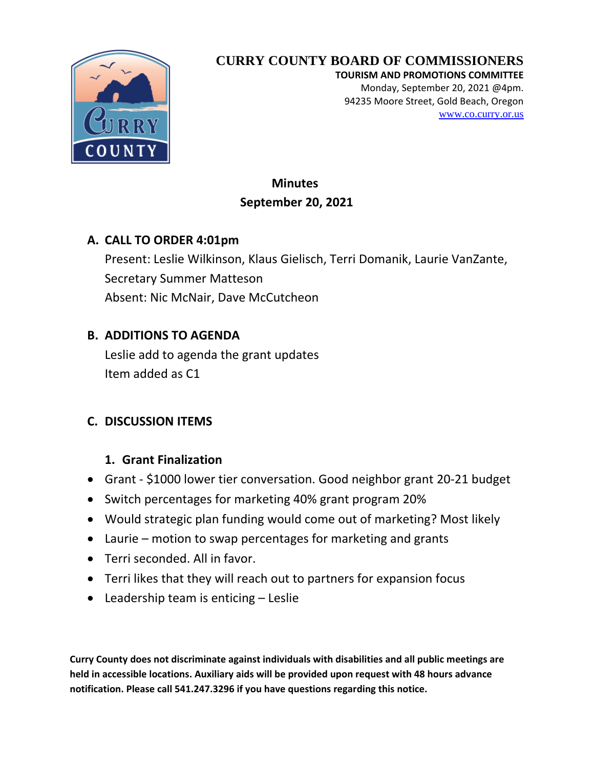

**TOURISM AND PROMOTIONS COMMITTEE**

Monday, September 20, 2021 @4pm. 94235 Moore Street, Gold Beach, Oregon [www.co.curry.or.us](http://www.co.curry.or.us/)

## **Minutes September 20, 2021**

## **A. CALL TO ORDER 4:01pm**

Present: Leslie Wilkinson, Klaus Gielisch, Terri Domanik, Laurie VanZante, Secretary Summer Matteson Absent: Nic McNair, Dave McCutcheon

## **B. ADDITIONS TO AGENDA**

Leslie add to agenda the grant updates Item added as C1

## **C. DISCUSSION ITEMS**

## **1. Grant Finalization**

- Grant \$1000 lower tier conversation. Good neighbor grant 20-21 budget
- Switch percentages for marketing 40% grant program 20%
- Would strategic plan funding would come out of marketing? Most likely
- Laurie motion to swap percentages for marketing and grants
- Terri seconded. All in favor.
- Terri likes that they will reach out to partners for expansion focus
- Leadership team is enticing Leslie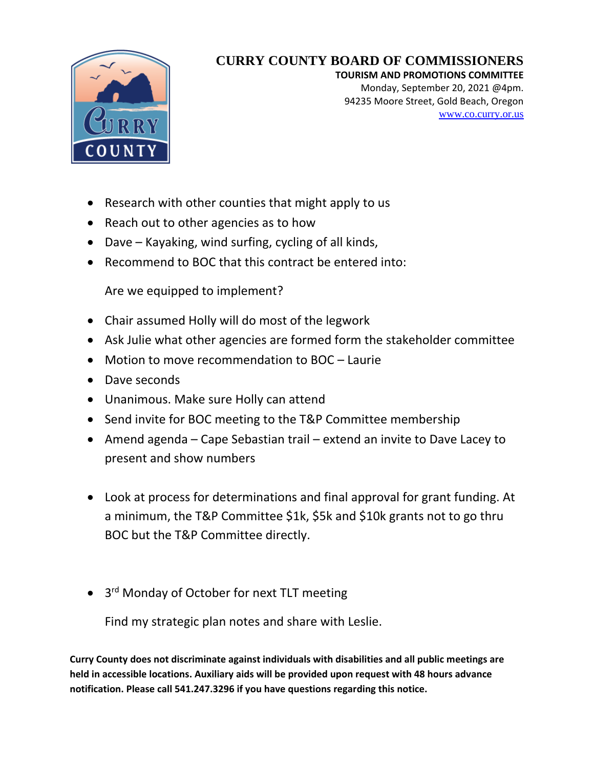

#### **TOURISM AND PROMOTIONS COMMITTEE**

Monday, September 20, 2021 @4pm. 94235 Moore Street, Gold Beach, Oregon [www.co.curry.or.us](http://www.co.curry.or.us/)

- Research with other counties that might apply to us
- Reach out to other agencies as to how
- Dave Kayaking, wind surfing, cycling of all kinds,
- Recommend to BOC that this contract be entered into:

Are we equipped to implement?

- Chair assumed Holly will do most of the legwork
- Ask Julie what other agencies are formed form the stakeholder committee
- Motion to move recommendation to BOC Laurie
- Dave seconds
- Unanimous. Make sure Holly can attend
- Send invite for BOC meeting to the T&P Committee membership
- Amend agenda Cape Sebastian trail extend an invite to Dave Lacey to present and show numbers
- Look at process for determinations and final approval for grant funding. At a minimum, the T&P Committee \$1k, \$5k and \$10k grants not to go thru BOC but the T&P Committee directly.
- 3<sup>rd</sup> Monday of October for next TLT meeting

Find my strategic plan notes and share with Leslie.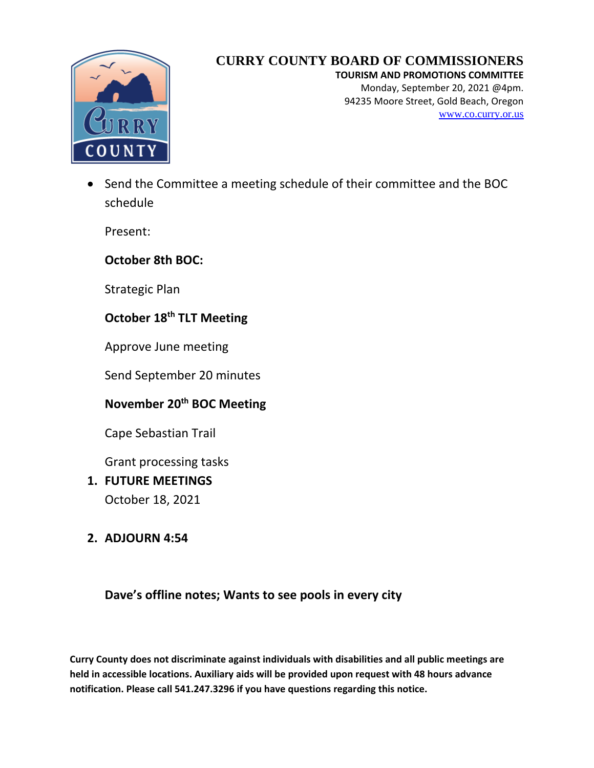

**TOURISM AND PROMOTIONS COMMITTEE** Monday, September 20, 2021 @4pm. 94235 Moore Street, Gold Beach, Oregon [www.co.curry.or.us](http://www.co.curry.or.us/)

• Send the Committee a meeting schedule of their committee and the BOC schedule

Present:

## **October 8th BOC:**

Strategic Plan

## **October 18th TLT Meeting**

Approve June meeting

Send September 20 minutes

# **November 20th BOC Meeting**

Cape Sebastian Trail

Grant processing tasks

## **1. FUTURE MEETINGS** October 18, 2021

## **2. ADJOURN 4:54**

## **Dave's offline notes; Wants to see pools in every city**